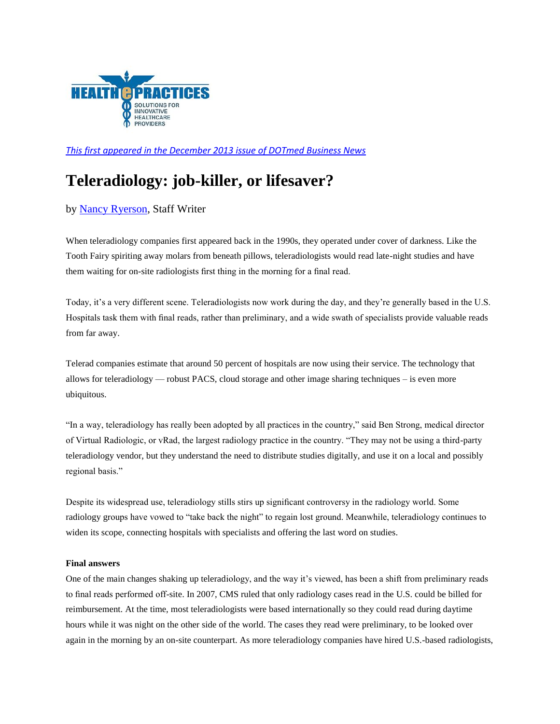

*[This first appeared in the December 2013 issue of DOTmed Business News](http://viewer.zmags.com/publication/7aad90ec)*

# **Teleradiology: job-killer, or lifesaver?**

by [Nancy Ryerson,](http://www.dotmed.com/news/search.html?search_author=196459&key=Nancy+Ryerson) Staff Writer

When teleradiology companies first appeared back in the 1990s, they operated under cover of darkness. Like the Tooth Fairy spiriting away molars from beneath pillows, teleradiologists would read late-night studies and have them waiting for on-site radiologists first thing in the morning for a final read.

Today, it's a very different scene. Teleradiologists now work during the day, and they're generally based in the U.S. Hospitals task them with final reads, rather than preliminary, and a wide swath of specialists provide valuable reads from far away.

Telerad companies estimate that around 50 percent of hospitals are now using their service. The technology that allows for teleradiology — robust PACS, cloud storage and other image sharing techniques – is even more ubiquitous.

"In a way, teleradiology has really been adopted by all practices in the country," said Ben Strong, medical director of Virtual Radiologic, or vRad, the largest radiology practice in the country. "They may not be using a third-party teleradiology vendor, but they understand the need to distribute studies digitally, and use it on a local and possibly regional basis."

Despite its widespread use, teleradiology stills stirs up significant controversy in the radiology world. Some radiology groups have vowed to "take back the night" to regain lost ground. Meanwhile, teleradiology continues to widen its scope, connecting hospitals with specialists and offering the last word on studies.

## **Final answers**

One of the main changes shaking up teleradiology, and the way it's viewed, has been a shift from preliminary reads to final reads performed off-site. In 2007, CMS ruled that only radiology cases read in the U.S. could be billed for reimbursement. At the time, most teleradiologists were based internationally so they could read during daytime hours while it was night on the other side of the world. The cases they read were preliminary, to be looked over again in the morning by an on-site counterpart. As more teleradiology companies have hired U.S.-based radiologists,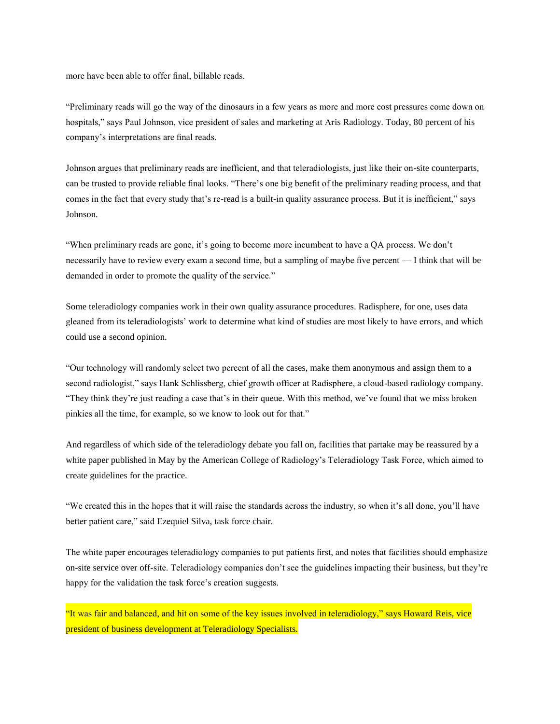more have been able to offer final, billable reads.

"Preliminary reads will go the way of the dinosaurs in a few years as more and more cost pressures come down on hospitals," says Paul Johnson, vice president of sales and marketing at Aris Radiology. Today, 80 percent of his company's interpretations are final reads.

Johnson argues that preliminary reads are inefficient, and that teleradiologists, just like their on-site counterparts, can be trusted to provide reliable final looks. "There's one big benefit of the preliminary reading process, and that comes in the fact that every study that's re-read is a built-in quality assurance process. But it is inefficient," says Johnson.

"When preliminary reads are gone, it's going to become more incumbent to have a QA process. We don't necessarily have to review every exam a second time, but a sampling of maybe five percent — I think that will be demanded in order to promote the quality of the service."

Some teleradiology companies work in their own quality assurance procedures. Radisphere, for one, uses data gleaned from its teleradiologists' work to determine what kind of studies are most likely to have errors, and which could use a second opinion.

"Our technology will randomly select two percent of all the cases, make them anonymous and assign them to a second radiologist," says Hank Schlissberg, chief growth officer at Radisphere, a cloud-based radiology company. "They think they're just reading a case that's in their queue. With this method, we've found that we miss broken pinkies all the time, for example, so we know to look out for that."

And regardless of which side of the teleradiology debate you fall on, facilities that partake may be reassured by a white paper published in May by the American College of Radiology's Teleradiology Task Force, which aimed to create guidelines for the practice.

"We created this in the hopes that it will raise the standards across the industry, so when it's all done, you'll have better patient care," said Ezequiel Silva, task force chair.

The white paper encourages teleradiology companies to put patients first, and notes that facilities should emphasize on-site service over off-site. Teleradiology companies don't see the guidelines impacting their business, but they're happy for the validation the task force's creation suggests.

"It was fair and balanced, and hit on some of the key issues involved in teleradiology," says Howard Reis, vice president of business development at Teleradiology Specialists.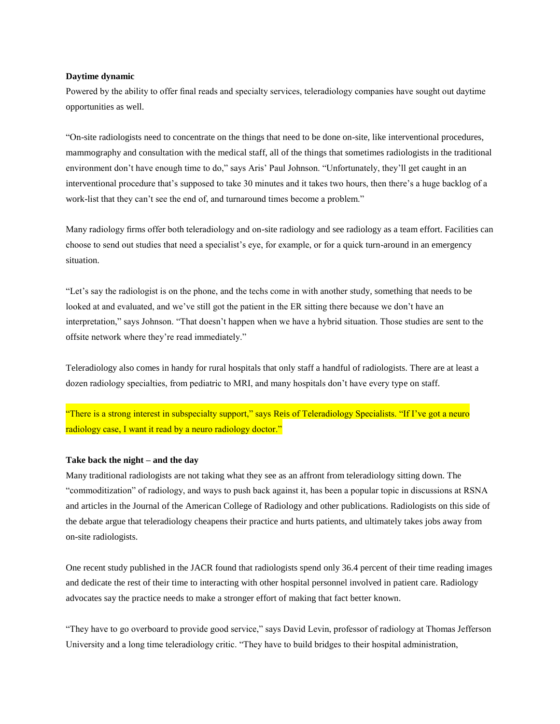#### **Daytime dynamic**

Powered by the ability to offer final reads and specialty services, teleradiology companies have sought out daytime opportunities as well.

"On-site radiologists need to concentrate on the things that need to be done on-site, like interventional procedures, mammography and consultation with the medical staff, all of the things that sometimes radiologists in the traditional environment don't have enough time to do," says Aris' Paul Johnson. "Unfortunately, they'll get caught in an interventional procedure that's supposed to take 30 minutes and it takes two hours, then there's a huge backlog of a work-list that they can't see the end of, and turnaround times become a problem."

Many radiology firms offer both teleradiology and on-site radiology and see radiology as a team effort. Facilities can choose to send out studies that need a specialist's eye, for example, or for a quick turn-around in an emergency situation.

"Let's say the radiologist is on the phone, and the techs come in with another study, something that needs to be looked at and evaluated, and we've still got the patient in the ER sitting there because we don't have an interpretation," says Johnson. "That doesn't happen when we have a hybrid situation. Those studies are sent to the offsite network where they're read immediately."

Teleradiology also comes in handy for rural hospitals that only staff a handful of radiologists. There are at least a dozen radiology specialties, from pediatric to MRI, and many hospitals don't have every type on staff.

"There is a strong interest in subspecialty support," says Reis of Teleradiology Specialists. "If I've got a neuro radiology case, I want it read by a neuro radiology doctor."

#### **Take back the night – and the day**

Many traditional radiologists are not taking what they see as an affront from teleradiology sitting down. The "commoditization" of radiology, and ways to push back against it, has been a popular topic in discussions at RSNA and articles in the Journal of the American College of Radiology and other publications. Radiologists on this side of the debate argue that teleradiology cheapens their practice and hurts patients, and ultimately takes jobs away from on-site radiologists.

One recent study published in the JACR found that radiologists spend only 36.4 percent of their time reading images and dedicate the rest of their time to interacting with other hospital personnel involved in patient care. Radiology advocates say the practice needs to make a stronger effort of making that fact better known.

"They have to go overboard to provide good service," says David Levin, professor of radiology at Thomas Jefferson University and a long time teleradiology critic. "They have to build bridges to their hospital administration,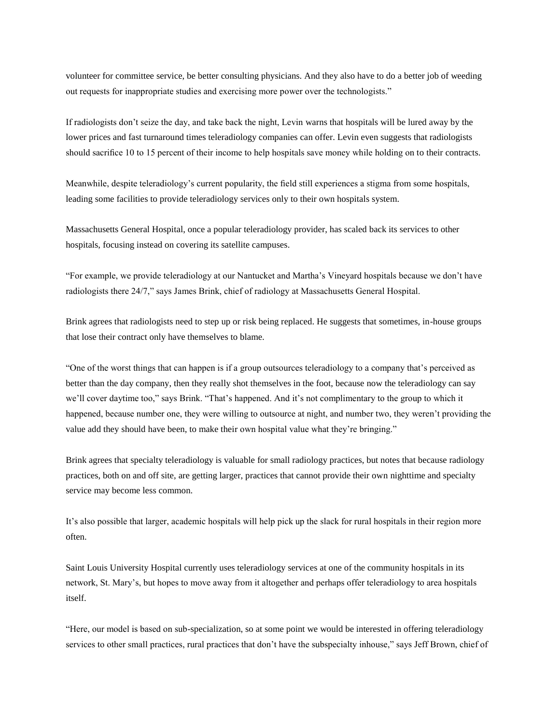volunteer for committee service, be better consulting physicians. And they also have to do a better job of weeding out requests for inappropriate studies and exercising more power over the technologists."

If radiologists don't seize the day, and take back the night, Levin warns that hospitals will be lured away by the lower prices and fast turnaround times teleradiology companies can offer. Levin even suggests that radiologists should sacrifice 10 to 15 percent of their income to help hospitals save money while holding on to their contracts.

Meanwhile, despite teleradiology's current popularity, the field still experiences a stigma from some hospitals, leading some facilities to provide teleradiology services only to their own hospitals system.

Massachusetts General Hospital, once a popular teleradiology provider, has scaled back its services to other hospitals, focusing instead on covering its satellite campuses.

"For example, we provide teleradiology at our Nantucket and Martha's Vineyard hospitals because we don't have radiologists there 24/7," says James Brink, chief of radiology at Massachusetts General Hospital.

Brink agrees that radiologists need to step up or risk being replaced. He suggests that sometimes, in-house groups that lose their contract only have themselves to blame.

"One of the worst things that can happen is if a group outsources teleradiology to a company that's perceived as better than the day company, then they really shot themselves in the foot, because now the teleradiology can say we'll cover daytime too," says Brink. "That's happened. And it's not complimentary to the group to which it happened, because number one, they were willing to outsource at night, and number two, they weren't providing the value add they should have been, to make their own hospital value what they're bringing."

Brink agrees that specialty teleradiology is valuable for small radiology practices, but notes that because radiology practices, both on and off site, are getting larger, practices that cannot provide their own nighttime and specialty service may become less common.

It's also possible that larger, academic hospitals will help pick up the slack for rural hospitals in their region more often.

Saint Louis University Hospital currently uses teleradiology services at one of the community hospitals in its network, St. Mary's, but hopes to move away from it altogether and perhaps offer teleradiology to area hospitals itself.

"Here, our model is based on sub-specialization, so at some point we would be interested in offering teleradiology services to other small practices, rural practices that don't have the subspecialty inhouse," says Jeff Brown, chief of